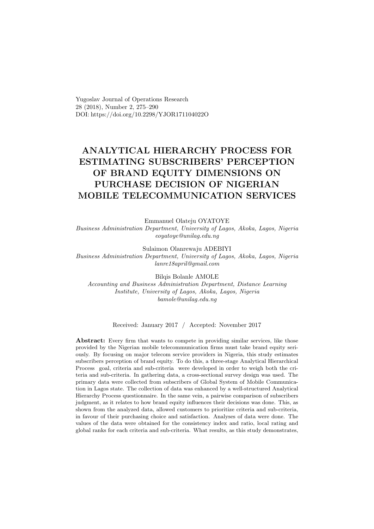Yugoslav Journal of Operations Research 28 (2018), Number 2, 275–290 DOI: https://doi.org/10.2298/YJOR171104022O

# ANALYTICAL HIERARCHY PROCESS FOR ESTIMATING SUBSCRIBERS' PERCEPTION OF BRAND EQUITY DIMENSIONS ON PURCHASE DECISION OF NIGERIAN MOBILE TELECOMMUNICATION SERVICES

Emmanuel Olateju OYATOYE Business Administration Department, University of Lagos, Akoka, Lagos, Nigeria eoyatoye@unilag.edu.ng

Sulaimon Olanrewaju ADEBIYI Business Administration Department, University of Lagos, Akoka, Lagos, Nigeria lanre18april@gmail.com

Bilqis Bolanle AMOLE

Accounting and Business Administration Department, Distance Learning Institute, University of Lagos, Akoka, Lagos, Nigeria bamole@unilag.edu.ng

Received: January 2017 / Accepted: November 2017

Abstract: Every firm that wants to compete in providing similar services, like those provided by the Nigerian mobile telecommunication firms must take brand equity seriously. By focusing on major telecom service providers in Nigeria, this study estimates subscribers perception of brand equity. To do this, a three-stage Analytical Hierarchical Process goal, criteria and sub-criteria were developed in order to weigh both the criteria and sub-criteria. In gathering data, a cross-sectional survey design was used. The primary data were collected from subscribers of Global System of Mobile Communication in Lagos state. The collection of data was enhanced by a well-structured Analytical Hierarchy Process questionnaire. In the same vein, a pairwise comparison of subscribers judgment, as it relates to how brand equity influences their decisions was done. This, as shown from the analyzed data, allowed customers to prioritize criteria and sub-criteria, in favour of their purchasing choice and satisfaction. Analyses of data were done. The values of the data were obtained for the consistency index and ratio, local rating and global ranks for each criteria and sub-criteria. What results, as this study demonstrates,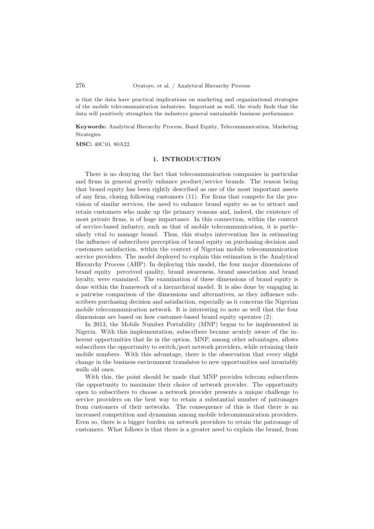is that the data have practical implications on marketing and organizational strategies of the mobile telecommunication industries. Important as well, the study finds that the data will positively strengthen the industrys general sustainable business performance.

Keywords: Analytical Hierarchy Process, Band Equity, Telecommunication, Marketing Strategies.

MSC: 40C10, 80A22.

#### 1. INTRODUCTION

There is no denying the fact that telecommunication companies in particular and firms in general greatly enhance product/service brands. The reason being that brand equity has been rightly described as one of the most important assets of any firm, closing following customers (11). For firms that compete for the provision of similar services, the need to enhance brand equity so as to attract and retain customers who make up the primary reasons and, indeed, the existence of most private firms, is of huge importance. In this connection, within the context of service-based industry, such as that of mobile telecommunication, it is particularly vital to manage brand. Thus, this studys intervention lies in estimating the influence of subscribers perception of brand equity on purchasing decision and customers satisfaction, within the context of Nigerian mobile telecommunication service providers. The model deployed to explain this estimation is the Analytical Hierarchy Process (AHP). In deploying this model, the four major dimensions of brand equity perceived quality, brand awareness, brand association and brand loyalty, were examined. The examination of these dimensions of brand equity is done within the framework of a hierarchical model. It is also done by engaging in a pairwise comparison of the dimensions and alternatives, as they influence subscribers purchasing decision and satisfaction, especially as it concerns the Nigerian mobile telecommunication network. It is interesting to note as well that the four dimensions are based on how customer-based brand equity operates (2).

In 2013, the Mobile Number Portability (MNP) began to be implemented in Nigeria. With this implementation, subscribers became acutely aware of the inherent opportunities that lie in the option. MNP, among other advantages, allows subscribers the opportunity to switch/port network providers, while retaining their mobile numbers. With this advantage, there is the observation that every slight change in the business environment translates to new opportunities and invariably walls old ones.

With this, the point should be made that MNP provides telecom subscribers the opportunity to maximize their choice of network provider. The opportunity open to subscribers to choose a network provider presents a unique challenge to service providers on the best way to retain a substantial number of patronages from customers of their networks. The consequence of this is that there is an increased competition and dynamism among mobile telecommunication providers. Even so, there is a bigger burden on network providers to retain the patronage of customers. What follows is that there is a greater need to explain the brand, from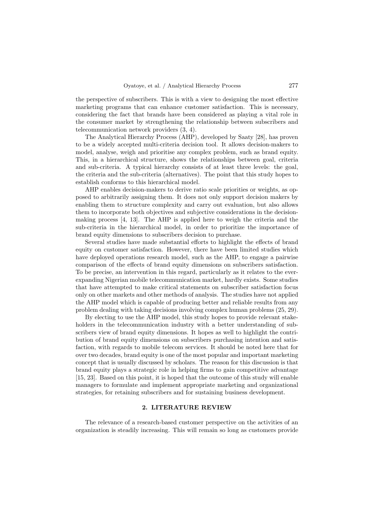the perspective of subscribers. This is with a view to designing the most effective marketing programs that can enhance customer satisfaction. This is necessary, considering the fact that brands have been considered as playing a vital role in the consumer market by strengthening the relationship between subscribers and telecommunication network providers (3, 4).

The Analytical Hierarchy Process (AHP), developed by Saaty [28], has proven to be a widely accepted multi-criteria decision tool. It allows decision-makers to model, analyse, weigh and prioritise any complex problem, such as brand equity. This, in a hierarchical structure, shows the relationships between goal, criteria and sub-criteria. A typical hierarchy consists of at least three levels: the goal, the criteria and the sub-criteria (alternatives). The point that this study hopes to establish conforms to this hierarchical model.

AHP enables decision-makers to derive ratio scale priorities or weights, as opposed to arbitrarily assigning them. It does not only support decision makers by enabling them to structure complexity and carry out evaluation, but also allows them to incorporate both objectives and subjective considerations in the decisionmaking process [4, 13]. The AHP is applied here to weigh the criteria and the sub-criteria in the hierarchical model, in order to prioritize the importance of brand equity dimensions to subscribers decision to purchase.

Several studies have made substantial efforts to highlight the effects of brand equity on customer satisfaction. However, there have been limited studies which have deployed operations research model, such as the AHP, to engage a pairwise comparison of the effects of brand equity dimensions on subscribers satisfaction. To be precise, an intervention in this regard, particularly as it relates to the everexpanding Nigerian mobile telecommunication market, hardly exists. Some studies that have attempted to make critical statements on subscriber satisfaction focus only on other markets and other methods of analysis. The studies have not applied the AHP model which is capable of producing better and reliable results from any problem dealing with taking decisions involving complex human problems (25, 29).

By electing to use the AHP model, this study hopes to provide relevant stakeholders in the telecommunication industry with a better understanding of subscribers view of brand equity dimensions. It hopes as well to highlight the contribution of brand equity dimensions on subscribers purchasing intention and satisfaction, with regards to mobile telecom services. It should be noted here that for over two decades, brand equity is one of the most popular and important marketing concept that is usually discussed by scholars. The reason for this discussion is that brand equity plays a strategic role in helping firms to gain competitive advantage [15, 23]. Based on this point, it is hoped that the outcome of this study will enable managers to formulate and implement appropriate marketing and organizational strategies, for retaining subscribers and for sustaining business development.

#### 2. LITERATURE REVIEW

The relevance of a research-based customer perspective on the activities of an organization is steadily increasing. This will remain so long as customers provide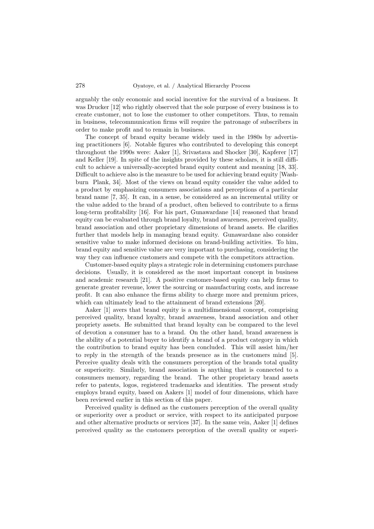arguably the only economic and social incentive for the survival of a business. It was Drucker [12] who rightly observed that the sole purpose of every business is to create customer, not to lose the customer to other competitors. Thus, to remain in business, telecommunication firms will require the patronage of subscribers in order to make profit and to remain in business.

The concept of brand equity became widely used in the 1980s by advertising practitioners [6]. Notable figures who contributed to developing this concept throughout the 1990s were: Aaker [1], Srivastava and Shocker [30], Kapferer [17] and Keller [19]. In spite of the insights provided by these scholars, it is still difficult to achieve a universally-accepted brand equity content and meaning [18, 33]. Difficult to achieve also is the measure to be used for achieving brand equity [Washburn Plank, 34]. Most of the views on brand equity consider the value added to a product by emphasizing consumers associations and perceptions of a particular brand name [7, 35]. It can, in a sense, be considered as an incremental utility or the value added to the brand of a product, often believed to contribute to a firms long-term profitability [16]. For his part, Gunawardane [14] reasoned that brand equity can be evaluated through brand loyalty, brand awareness, perceived quality, brand association and other proprietary dimensions of brand assets. He clarifies further that models help in managing brand equity. Gunawardane also consider sensitive value to make informed decisions on brand-building activities. To him, brand equity and sensitive value are very important to purchasing, considering the way they can influence customers and compete with the competitors attraction.

Customer-based equity plays a strategic role in determining customers purchase decisions. Usually, it is considered as the most important concept in business and academic research [21]. A positive customer-based equity can help firms to generate greater revenue, lower the sourcing or manufacturing costs, and increase profit. It can also enhance the firms ability to charge more and premium prices, which can ultimately lead to the attainment of brand extensions [20].

Aaker [1] avers that brand equity is a multidimensional concept, comprising perceived quality, brand loyalty, brand awareness, brand association and other propriety assets. He submitted that brand loyalty can be compared to the level of devotion a consumer has to a brand. On the other hand, brand awareness is the ability of a potential buyer to identify a brand of a product category in which the contribution to brand equity has been concluded. This will assist him/her to reply in the strength of the brands presence as in the customers mind [5]. Perceive quality deals with the consumers perception of the brands total quality or superiority. Similarly, brand association is anything that is connected to a consumers memory, regarding the brand. The other proprietary brand assets refer to patents, logos, registered trademarks and identities. The present study employs brand equity, based on Aakers [1] model of four dimensions, which have been reviewed earlier in this section of this paper.

Perceived quality is defined as the customers perception of the overall quality or superiority over a product or service, with respect to its anticipated purpose and other alternative products or services [37]. In the same vein, Aaker [1] defines perceived quality as the customers perception of the overall quality or superi-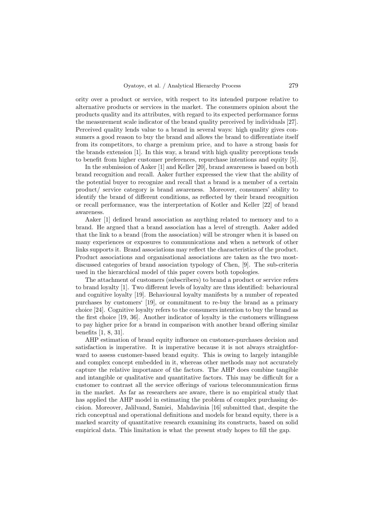ority over a product or service, with respect to its intended purpose relative to alternative products or services in the market. The consumers opinion about the products quality and its attributes, with regard to its expected performance forms the measurement scale indicator of the brand quality perceived by individuals [27]. Perceived quality lends value to a brand in several ways: high quality gives consumers a good reason to buy the brand and allows the brand to differentiate itself from its competitors, to charge a premium price, and to have a strong basis for the brands extension [1]. In this way, a brand with high quality perceptions tends to benefit from higher customer preferences, repurchase intentions and equity [5].

In the submission of Aaker [1] and Keller [20], brand awareness is based on both brand recognition and recall. Aaker further expressed the view that the ability of the potential buyer to recognize and recall that a brand is a member of a certain product/ service category is brand awareness. Moreover, consumers' ability to identify the brand of different conditions, as reflected by their brand recognition or recall performance, was the interpretation of Kotler and Keller [22] of brand awareness.

Aaker [1] defined brand association as anything related to memory and to a brand. He argued that a brand association has a level of strength. Aaker added that the link to a brand (from the association) will be stronger when it is based on many experiences or exposures to communications and when a network of other links supports it. Brand associations may reflect the characteristics of the product. Product associations and organisational associations are taken as the two mostdiscussed categories of brand association typology of Chen, [9]. The sub-criteria used in the hierarchical model of this paper covers both topologies.

The attachment of customers (subscribers) to brand a product or service refers to brand loyalty [1]. Two different levels of loyalty are thus identified: behavioural and cognitive loyalty [19]. Behavioural loyalty manifests by a number of repeated purchases by customers' [19], or commitment to re-buy the brand as a primary choice [24]. Cognitive loyalty refers to the consumers intention to buy the brand as the first choice [19, 36]. Another indicator of loyalty is the customers willingness to pay higher price for a brand in comparison with another brand offering similar benefits [1, 8, 31].

AHP estimation of brand equity influence on customer-purchases decision and satisfaction is imperative. It is imperative because it is not always straightforward to assess customer-based brand equity. This is owing to largely intangible and complex concept embedded in it, whereas other methods may not accurately capture the relative importance of the factors. The AHP does combine tangible and intangible or qualitative and quantitative factors. This may be difficult for a customer to contrast all the service offerings of various telecommunication firms in the market. As far as researchers are aware, there is no empirical study that has applied the AHP model in estimating the problem of complex purchasing decision. Moreover, Jalilvand, Samiei, Mahdavinia [16] submitted that, despite the rich conceptual and operational definitions and models for brand equity, there is a marked scarcity of quantitative research examining its constructs, based on solid empirical data. This limitation is what the present study hopes to fill the gap.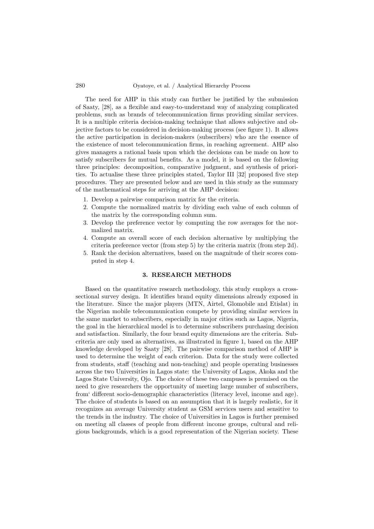The need for AHP in this study can further be justified by the submission of Saaty, [28], as a flexible and easy-to-understand way of analyzing complicated problems, such as brands of telecommunication firms providing similar services. It is a multiple criteria decision-making technique that allows subjective and objective factors to be considered in decision-making process (see figure 1). It allows the active participation in decision-makers (subscribers) who are the essence of the existence of most telecommunication firms, in reaching agreement. AHP also gives managers a rational basis upon which the decisions can be made on how to satisfy subscribers for mutual benefits. As a model, it is based on the following three principles: decomposition, comparative judgment, and synthesis of priorities. To actualise these three principles stated, Taylor III [32] proposed five step procedures. They are presented below and are used in this study as the summary of the mathematical steps for arriving at the AHP decision:

- 1. Develop a pairwise comparison matrix for the criteria.
- 2. Compute the normalized matrix by dividing each value of each column of the matrix by the corresponding column sum.
- 3. Develop the preference vector by computing the row averages for the normalized matrix.
- 4. Compute an overall score of each decision alternative by multiplying the criteria preference vector (from step 5) by the criteria matrix (from step 2d).
- 5. Rank the decision alternatives, based on the magnitude of their scores computed in step 4.

#### 3. RESEARCH METHODS

Based on the quantitative research methodology, this study employs a crosssectional survey design. It identifies brand equity dimensions already exposed in the literature. Since the major players (MTN, Airtel, Glomobile and Etislat) in the Nigerian mobile telecommunication compete by providing similar services in the same market to subscribers, especially in major cities such as Lagos, Nigeria, the goal in the hierarchical model is to determine subscribers purchasing decision and satisfaction. Similarly, the four brand equity dimensions are the criteria. Subcriteria are only used as alternatives, as illustrated in figure 1, based on the AHP knowledge developed by Saaty [28]. The pairwise comparison method of AHP is used to determine the weight of each criterion. Data for the study were collected from students, staff (teaching and non-teaching) and people operating businesses across the two Universities in Lagos state: the University of Lagos, Akoka and the Lagos State University, Ojo. The choice of these two campuses is premised on the need to give researchers the opportunity of meeting large number of subscribers, from' different socio-demographic characteristics (literacy level, income and age). The choice of students is based on an assumption that it is largely realistic, for it recognizes an average University student as GSM services users and sensitive to the trends in the industry. The choice of Universities in Lagos is further premised on meeting all classes of people from different income groups, cultural and religious backgrounds, which is a good representation of the Nigerian society. These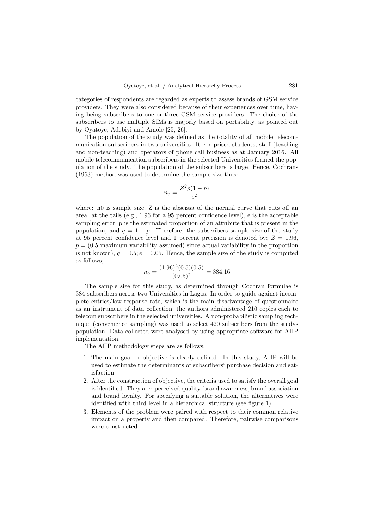categories of respondents are regarded as experts to assess brands of GSM service providers. They were also considered because of their experiences over time, having being subscribers to one or three GSM service providers. The choice of the subscribers to use multiple SIMs is majorly based on portability, as pointed out by Oyatoye, Adebiyi and Amole [25, 26].

The population of the study was defined as the totality of all mobile telecommunication subscribers in two universities. It comprised students, staff (teaching and non-teaching) and operators of phone call business as at January 2016. All mobile telecommunication subscribers in the selected Universities formed the population of the study. The population of the subscribers is large. Hence, Cochrans (1963) method was used to determine the sample size thus:

$$
n_o = \frac{Z^2 p(1-p)}{e^2}
$$

where: n0 is sample size, Z is the abscissa of the normal curve that cuts off an area at the tails (e.g., 1.96 for a 95 percent confidence level), e is the acceptable sampling error, p is the estimated proportion of an attribute that is present in the population, and  $q = 1 - p$ . Therefore, the subscribers sample size of the study at 95 percent confidence level and 1 percent precision is denoted by:  $Z = 1.96$ .  $p = (0.5$  maximum variability assumed) since actual variability in the proportion is not known),  $q = 0.5$ ;  $e = 0.05$ . Hence, the sample size of the study is computed as follows;

$$
n_o = \frac{(1.96)^2 (0.5)(0.5)}{(0.05)^2} = 384.16
$$

The sample size for this study, as determined through Cochran formulae is 384 subscribers across two Universities in Lagos. In order to guide against incomplete entries/low response rate, which is the main disadvantage of questionnaire as an instrument of data collection, the authors administered 210 copies each to telecom subscribers in the selected universities. A non-probabilistic sampling technique (convenience sampling) was used to select 420 subscribers from the studys population. Data collected were analysed by using appropriate software for AHP implementation.

The AHP methodology steps are as follows;

- 1. The main goal or objective is clearly defined. In this study, AHP will be used to estimate the determinants of subscribers' purchase decision and satisfaction.
- 2. After the construction of objective, the criteria used to satisfy the overall goal is identified. They are: perceived quality, brand awareness, brand association and brand loyalty. For specifying a suitable solution, the alternatives were identified with third level in a hierarchical structure (see figure 1).
- 3. Elements of the problem were paired with respect to their common relative impact on a property and then compared. Therefore, pairwise comparisons were constructed.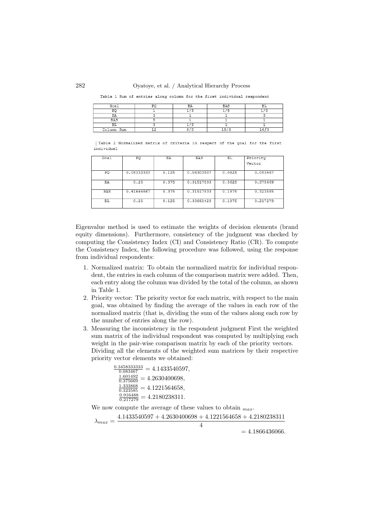282 Oyatoye, et al. / Analytical Hierarchy Process

Table 1 Sum of entries along column for the first individual respondent

| Goal       | no. | BA            | <b>BAS</b> | <b>DT</b> |  |
|------------|-----|---------------|------------|-----------|--|
| D٥         |     |               |            |           |  |
| ΒA         |     |               |            |           |  |
| BAS        |     |               |            |           |  |
| ВL         |     | $\sim$ $\sim$ |            |           |  |
| Column Sum |     | O/2           | 9          |           |  |

| Table 2 Normalized matrix of criteria in respect of the goal for the first individual

| PQ         | <b>BA</b> | BAS        | <b>BL</b> | Priority |  |  |
|------------|-----------|------------|-----------|----------|--|--|
|            |           |            |           | Vector   |  |  |
| 0.08333333 | 0.125     | 0.06303507 | 0.0625    | 0.083467 |  |  |
| 0.25       | 0.375     | 0.31517533 | 0.5625    | 0.375669 |  |  |
| 0.41666667 | 0.375     | 0.31517533 | 0.1875    | 0.323585 |  |  |
| 0.25       | 0.125     | 0.30661428 | 0.1875    | 0.217279 |  |  |
|            |           |            |           |          |  |  |

Eigenvalue method is used to estimate the weights of decision elements (brand equity dimensions). Furthermore, consistency of the judgment was checked by computing the Consistency Index (CI) and Consistency Ratio (CR). To compute the Consistency Index, the following procedure was followed, using the response from individual respondents:

- 1. Normalized matrix: To obtain the normalized matrix for individual respondent, the entries in each column of the comparison matrix were added. Then, each entry along the column was divided by the total of the column, as shown in Table 1.
- 2. Priority vector: The priority vector for each matrix, with respect to the main goal, was obtained by finding the average of the values in each row of the normalized matrix (that is, dividing the sum of the values along each row by the number of entries along the row).
- 3. Measuring the inconsistency in the respondent judgment First the weighted sum matrix of the individual respondent was computed by multiplying each weight in the pair-wise comparison matrix by each of the priority vectors. Dividing all the elements of the weighted sum matrices by their respective priority vector elements we obtained:

 $\frac{0.3458333333}{0.083467} = 4.1433540597,$  $\frac{1.601492}{0.375669} = 4.2630400698,$  $\frac{1.333868}{0.323585} = 4.1221564658,$  $\frac{0.916488}{0.217279} = 4.2180238311.$ 

We now compute the average of these values to obtain  $_{max}$ .

 $\lambda_{max} = \frac{4.1433540597 + 4.2630400698 + 4.1221564658 + 4.2180238311}{4}$ 4

 $= 4.1866436066.$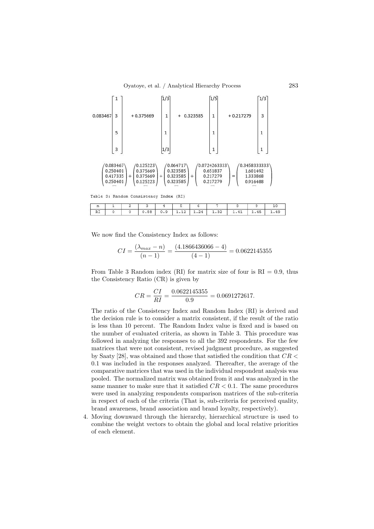

We now find the Consistency Index as follows:

$$
CI = \frac{(\lambda_{max} - n)}{(n - 1)} = \frac{(4.1866436066 - 4)}{(4 - 1)} = 0.0622145355
$$

From Table 3 Random index (RI) for matrix size of four is  $RI = 0.9$ , thus the Consistency Ratio (CR) is given by

$$
CR = \frac{CI}{RI} = \frac{0.0622145355}{0.9} = 0.0691272617.
$$

The ratio of the Consistency Index and Random Index (RI) is derived and the decision rule is to consider a matrix consistent, if the result of the ratio is less than 10 percent. The Random Index value is fixed and is based on the number of evaluated criteria, as shown in Table 3. This procedure was followed in analyzing the responses to all the 392 respondents. For the few matrices that were not consistent, revised judgment procedure, as suggested by Saaty [28], was obtained and those that satisfied the condition that  $CR <$ 0.1 was included in the responses analyzed. Thereafter, the average of the comparative matrices that was used in the individual respondent analysis was pooled. The normalized matrix was obtained from it and was analyzed in the same manner to make sure that it satisfied  $CR < 0.1$ . The same procedures were used in analyzing respondents comparison matrices of the sub-criteria in respect of each of the criteria (That is, sub-criteria for perceived quality, brand awareness, brand association and brand loyalty, respectively).

4. Moving downward through the hierarchy, hierarchical structure is used to combine the weight vectors to obtain the global and local relative priorities of each element.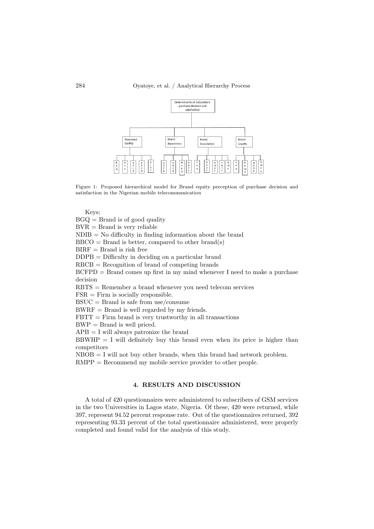

Figure 1: Proposed hierarchical model for Brand equity perception of purchase decision and satisfaction in the Nigerian mobile telecommunication

Keys;

 $B G Q =$ Brand is of good quality

 $BVR = Brand$  is very reliable

 $NDIB = No$  difficulty in finding information about the brand

 $BBCO = Brand$  is better, compared to other brand(s)

 $BIRF = Brand$  is risk free

DDPB = Difficulty in deciding on a particular brand

RBCB = Recognition of brand of competing brands

 $BCFPD = Brand comes up first in my mind whenever I need to make a purchase$ decision

RBTS = Remember a brand whenever you need telecom services

 $FSR =$  Firm is socially responsible.

 $\text{BSUC} = \text{Brand}$  is safe from use/consume

BWRF = Brand is well regarded by my friends.

 $FBTT = Firm brand$  is very trustworthy in all transactions

BWP = Brand is well priced.

 $APB = I$  will always patronize the brand

 $BBWHP = I$  will definitely buy this brand even when its price is higher than competitors

 $NBOB = I$  will not buy other brands, when this brand had network problem.

RMPP = Recommend my mobile service provider to other people.

### 4. RESULTS AND DISCUSSION

A total of 420 questionnaires were administered to subscribers of GSM services in the two Universities in Lagos state, Nigeria. Of these, 420 were returned, while 397, represent 94.52 percent response rate. Out of the questionnaires returned, 392 representing 93.33 percent of the total questionnaire administered, were properly completed and found valid for the analysis of this study.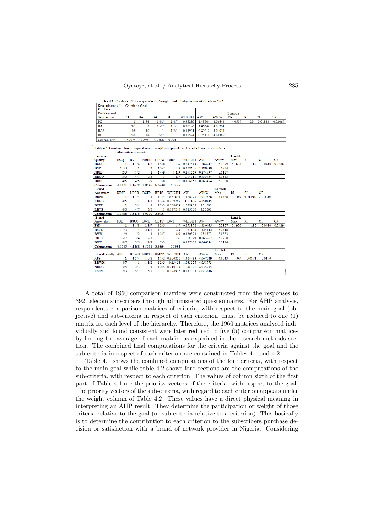Table 4.1: Combined final computations of weights and priority vectors of criteria to Goal

| Determinants of     |        | Criteria to Goal |            |           |           |         |         |        |           |         |         |
|---------------------|--------|------------------|------------|-----------|-----------|---------|---------|--------|-----------|---------|---------|
| Purchase            |        |                  |            |           |           |         |         |        |           |         |         |
| Decision and        |        |                  |            |           |           |         |         | Lambda |           |         |         |
| <b>Satisfaction</b> | PQ     | <b>BA</b>        | <b>BAS</b> | <b>BL</b> | WEIGHT AW |         | AW/W    | Max    | <b>RI</b> | CI      | CR      |
| PQ                  |        | 1 5/8            | 14/5       | 14/7      | 0.35289   | 1.43504 | 4.06646 | 4.0559 | 0.9       | 0.01863 | 0.02069 |
| <b>BA</b>           | 3/5    |                  | 1 5/7      | 11/3      | 0.26186   | .06644  | 4.07261 |        |           |         |         |
| <b>BAS</b>          | 5/9    | 4/7              |            | 1 2/5     | 0.19951   | 0.80612 | 4.04054 |        |           |         |         |
| <b>BL</b>           | 5/8    | 3/4              | 5/7        |           | 0.18574   | 0.75111 | 4.04389 |        |           |         |         |
| Column sum          | 2.7975 | 3.9693           | 5.2568     | 5.2941    |           |         |         |        |           |         |         |

Table 4.2: Combined final computations of weights and priority vectors of alternatives to criteria

|                      | Altematives to entena |             |             |             |                  |               |          |        |           |             |           |           |
|----------------------|-----------------------|-------------|-------------|-------------|------------------|---------------|----------|--------|-----------|-------------|-----------|-----------|
| Perceived            |                       |             |             |             |                  |               |          |        | Lambda    |             |           |           |
| Ouality              | <b>BGO</b>            | <b>BVR</b>  | <b>NDIB</b> | <b>BBCO</b> | <b>BIRF</b>      | <b>WEIGHT</b> | AW       | AW/W   | Max       | <b>RT</b>   | CI        | <b>CR</b> |
| <b>BGO</b>           |                       | 11/4        | 11/2        | 1.5/8       | $1\,\frac{1}{2}$ | 0 247544      | 1 284747 | 51899  | 5.1638    | 1.12        | 0.0410    | 0.0366    |
| <b>BVR</b>           | 11/3                  |             | 2           | 15/7        | 1.1/4            | 0.268125      | 1.389789 | 5.1834 |           |             |           |           |
| <b>NDIB</b>          | 2/3                   | 1/2         | 1           | 14/9        | 11/9             | 0.171069      | 0874797  | 5.1137 |           |             |           |           |
| <b>BBCO</b>          | 3/5                   | 4/7         | 2/3         |             | 11/7             | 0.14711       | 0.755454 | 5.1353 |           |             |           |           |
| <b>BIRF</b>          | 4/5                   | 4/5         | 8/9         | 7/8         | 1                | 0.166152      | 0.863454 | 5.1968 |           |             |           |           |
| Column sum           | 4.4471                | 4.1628      | 5.9436      | 6.6639      | 5.7425           |               |          |        |           |             |           |           |
| <b>Brand</b>         |                       |             |             |             |                  |               |          | Lambda |           |             |           |           |
| Awareness            | <b>DDPB</b>           | <b>RBCB</b> | <b>BCFP</b> | <b>RBTS</b> | WEIGHT           | AW            | AW/W     | Max    | <b>RI</b> | <b>CI</b>   | CR        |           |
| <b>DDPB</b>          | 1                     | 11/4        |             | 11/4        | 0.27886          | 1.128723      | 4.047628 | 4.0438 | 0.9       | 0.014587    | 0.016208  |           |
| <b>RBCB</b>          | 4/5                   |             | 11/3        | 13/4        | 0.289267         | 1.17166       | 4.050445 |        |           |             |           |           |
| <b>BCFP</b>          | 1                     | 3/4         | 1           | 12/3        | 0.254629         | 1.028934      | 4.04092  |        |           |             |           |           |
| <b>RBTS</b>          | 4/5                   | 4/7         | 3/5         |             | 0.177244         | 0.715365      | 4.03605  |        |           |             |           |           |
| Column sum           | 3.5488                | 3.5416      | 4.0100      | 5.6957      |                  |               |          |        |           |             |           |           |
| <b>Brand</b>         |                       |             |             |             |                  |               |          |        | Lambda    |             |           |           |
| Association          | <b>FSR</b>            | <b>BSUC</b> | <b>BWR</b>  | <b>CBTT</b> | <b>BWP</b>       | WEIGHT        | AW       | AW/W   | Max       | $_{\rm RI}$ | <b>CI</b> | CR        |
| <b>FSR</b>           |                       | 11/3        | 21/9        | 12/5        | $1\frac{3}{4}$   | 0.273372      | 1.430465 | 5.2327 | 5.1920    | 1.12        | 0.0480    | 0.0429    |
| <b>BSUC</b>          | 11/3                  |             | 21/7        | 11/3        | 12/3             | 0.27188       | 1.425142 | 5.2418 |           |             |           |           |
| <b>BWR</b>           | $\frac{1}{2}$         | 1/2         |             | 12/7        | 14/9             | 0.160321      | 0.81577  | 5.0883 |           |             |           |           |
| <b>CBTT</b>          | 5/7                   | 3/4         | 2/3         |             | $1\frac{1}{2}$   | 0.16679       | 0.863767 | 5.1788 |           |             |           |           |
| <b>BWP</b>           | 4/7                   | 3/5         | 2/3         | 2/3         | 1                | 0.127637      | 0.666084 | 5.2186 |           |             |           |           |
| Column sum           | 4.1249                | 4.1468      | 6.5931      | 5.6664      | 7.3964           |               |          |        |           |             |           |           |
|                      |                       |             |             |             |                  |               |          | Lambda |           |             |           |           |
| <b>Brand Lovalty</b> | <b>APB</b>            | <b>BBWH</b> | <b>NBOB</b> | <b>RMPP</b> | WEIGHT           | AW            | AW/W     | Max    | RI        | <b>CT</b>   | CR        |           |
| APB                  | 1                     | 13/4        | 15/8        | 11/2        | 0.350252         | 1.424483      | 4.067029 | 4.0513 | 0.9       | 0.0171      | 0.0190    |           |
| <b>BBWH</b>          | 4/7                   |             | 11/2        | 12/5        | 0.25464          | 1.033525      | 4.058773 |        |           |             |           |           |
| <b>NBOB</b>          | 3/5                   | 2/3         | 1           | 12/5        | 0.210174         | 0.84821       | 4.035755 |        |           |             |           |           |
| <b>RMPP</b>          | 2/3                   | 5/7         | 5/7         |             | 0.184935         | 0.747774      | 4.043446 |        |           |             |           |           |

A total of 1960 comparison matrices were constructed from the responses to 392 telecom subscribers through administered questionnaires. For AHP analysis, respondents comparison matrices of criteria, with respect to the main goal (objective) and sub-criteria in respect of each criterion, must be reduced to one (1) matrix for each level of the hierarchy. Therefore, the 1960 matrices analysed individually and found consistent were later reduced to five (5) comparison matrices by finding the average of each matrix, as explained in the research methods section. The combined final computations for the criteria against the goal and the sub-criteria in respect of each criterion are contained in Tables 4.1 and 4.2.

Table 4.1 shows the combined computations of the four criteria, with respect to the main goal while table 4.2 shows four sections are the computations of the sub-criteria, with respect to each criterion. The values of column sixth of the first part of Table 4.1 are the priority vectors of the criteria, with respect to the goal. The priority vectors of the sub-criteria, with regard to each criterion appears under the weight column of Table 4.2. These values have a direct physical meaning in interpreting an AHP result. They determine the participation or weight of those criteria relative to the goal (or sub-criteria relative to a criterion). This basically is to determine the contribution to each criterion to the subscribers purchase decision or satisfaction with a brand of network provider in Nigeria. Considering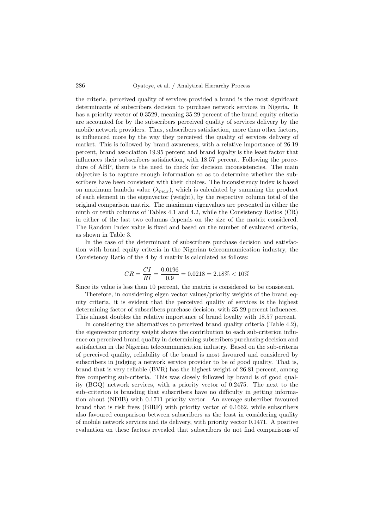the criteria, perceived quality of services provided a brand is the most significant determinants of subscribers decision to purchase network services in Nigeria. It has a priority vector of 0.3529, meaning 35.29 percent of the brand equity criteria are accounted for by the subscribers perceived quality of services delivery by the mobile network providers. Thus, subscribers satisfaction, more than other factors, is influenced more by the way they perceived the quality of services delivery of market. This is followed by brand awareness, with a relative importance of 26.19 percent, brand association 19.95 percent and brand loyalty is the least factor that influences their subscribers satisfaction, with 18.57 percent. Following the procedure of AHP, there is the need to check for decision inconsistencies. The main objective is to capture enough information so as to determine whether the subscribers have been consistent with their choices. The inconsistency index is based on maximum lambda value  $(\lambda_{max})$ , which is calculated by summing the product of each element in the eigenvector (weight), by the respective column total of the original comparison matrix. The maximum eigenvalues are presented in either the ninth or tenth columns of Tables 4.1 and 4.2, while the Consistency Ratios (CR) in either of the last two columns depends on the size of the matrix considered. The Random Index value is fixed and based on the number of evaluated criteria, as shown in Table 3.

In the case of the determinant of subscribers purchase decision and satisfaction with brand equity criteria in the Nigerian telecommunication industry, the Consistency Ratio of the 4 by 4 matrix is calculated as follows:

$$
CR = \frac{CI}{RI} = \frac{0.0196}{0.9} = 0.0218 = 2.18\% < 10\%
$$

Since its value is less than 10 percent, the matrix is considered to be consistent.

Therefore, in considering eigen vector values/priority weights of the brand equity criteria, it is evident that the perceived quality of services is the highest determining factor of subscribers purchase decision, with 35.29 percent influences. This almost doubles the relative importance of brand loyalty with 18.57 percent.

In considering the alternatives to perceived brand quality criteria (Table 4.2), the eigenvector priority weight shows the contribution to each sub-criterion influence on perceived brand quality in determining subscribers purchasing decision and satisfaction in the Nigerian telecommunication industry. Based on the sub-criteria of perceived quality, reliability of the brand is most favoured and considered by subscribers in judging a network service provider to be of good quality. That is, brand that is very reliable (BVR) has the highest weight of 26.81 percent, among five competing sub-criteria. This was closely followed by brand is of good quality (BGQ) network services, with a priority vector of 0.2475. The next to the sub–criterion is branding that subscribers have no difficulty in getting information about (NDIB) with 0.1711 priority vector. An average subscriber favoured brand that is risk frees (BIRF) with priority vector of 0.1662, while subscribers also favoured comparison between subscribers as the least in considering quality of mobile network services and its delivery, with priority vector 0.1471. A positive evaluation on these factors revealed that subscribers do not find comparisons of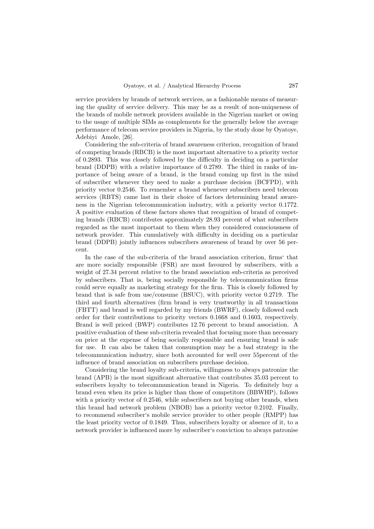service providers by brands of network services, as a fashionable means of measuring the quality of service delivery. This may be as a result of non-uniqueness of the brands of mobile network providers available in the Nigerian market or owing to the usage of multiple SIMs as complements for the generally below the average performance of telecom service providers in Nigeria, by the study done by Oyatoye, Adebiyi Amole, [26].

Considering the sub-criteria of brand awareness criterion, recognition of brand of competing brands (RBCB) is the most important alternative to a priority vector of 0.2893. This was closely followed by the difficulty in deciding on a particular brand (DDPB) with a relative importance of 0.2789. The third in ranks of importance of being aware of a brand, is the brand coming up first in the mind of subscriber whenever they need to make a purchase decision (BCFPD), with priority vector 0.2546. To remember a brand whenever subscribers need telecom services (RBTS) came last in their choice of factors determining brand awareness in the Nigerian telecommunication industry, with a priority vector 0.1772. A positive evaluation of these factors shows that recognition of brand of competing brands (RBCB) contributes approximately 28.93 percent of what subscribers regarded as the most important to them when they considered consciousness of network provider. This cumulatively with difficulty in deciding on a particular brand (DDPB) jointly influences subscribers awareness of brand by over 56 percent.

In the case of the sub-criteria of the brand association criterion, firms' that are more socially responsible (FSR) are most favoured by subscribers, with a weight of 27.34 percent relative to the brand association sub-criteria as perceived by subscribers. That is, being socially responsible by telecommunication firms could serve equally as marketing strategy for the firm. This is closely followed by brand that is safe from use/consume (BSUC), with priority vector 0.2719. The third and fourth alternatives (firm brand is very trustworthy in all transactions (FBTT) and brand is well regarded by my friends (BWRF), closely followed each order for their contributions to priority vectors 0.1668 and 0.1603, respectively. Brand is well priced (BWP) contributes 12.76 percent to brand association. A positive evaluation of these sub-criteria revealed that focusing more than necessary on price at the expense of being socially responsible and ensuring brand is safe for use. It can also be taken that consumption may be a bad strategy in the telecommunication industry, since both accounted for well over 55percent of the influence of brand association on subscribers purchase decision.

Considering the brand loyalty sub-criteria, willingness to always patronize the brand (APB) is the most significant alternative that contributes 35.03 percent to subscribers loyalty to telecommunication brand in Nigeria. To definitely buy a brand even when its price is higher than those of competitors (BBWHP), follows with a priority vector of 0.2546, while subscribers not buying other brands, when this brand had network problem (NBOB) has a priority vector 0.2102. Finally, to recommend subscriber's mobile service provider to other people (RMPP) has the least priority vector of 0.1849. Thus, subscribers loyalty or absence of it, to a network provider is influenced more by subscriber's conviction to always patronise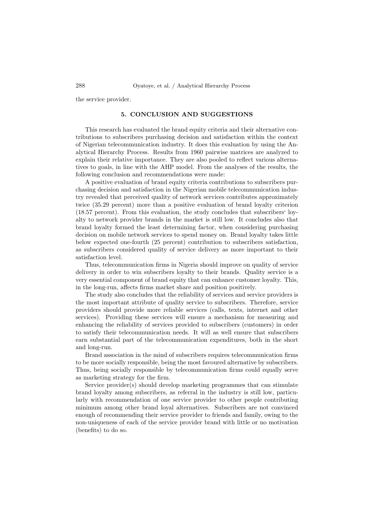the service provider.

## 5. CONCLUSION AND SUGGESTIONS

This research has evaluated the brand equity criteria and their alternative contributions to subscribers purchasing decision and satisfaction within the context of Nigerian telecommunication industry. It does this evaluation by using the Analytical Hierarchy Process. Results from 1960 pairwise matrices are analyzed to explain their relative importance. They are also pooled to reflect various alternatives to goals, in line with the AHP model. From the analyses of the results, the following conclusion and recommendations were made:

A positive evaluation of brand equity criteria contributions to subscribers purchasing decision and satisfaction in the Nigerian mobile telecommunication industry revealed that perceived quality of network services contributes approximately twice (35.29 percent) more than a positive evaluation of brand loyalty criterion (18.57 percent). From this evaluation, the study concludes that subscribers' loyalty to network provider brands in the market is still low. It concludes also that brand loyalty formed the least determining factor, when considering purchasing decision on mobile network services to spend money on. Brand loyalty takes little below expected one-fourth (25 percent) contribution to subscribers satisfaction, as subscribers considered quality of service delivery as more important to their satisfaction level.

Thus, telecommunication firms in Nigeria should improve on quality of service delivery in order to win subscribers loyalty to their brands. Quality service is a very essential component of brand equity that can enhance customer loyalty. This, in the long-run, affects firms market share and position positively.

The study also concludes that the reliability of services and service providers is the most important attribute of quality service to subscribers. Therefore, service providers should provide more reliable services (calls, texts, internet and other services). Providing these services will ensure a mechanism for measuring and enhancing the reliability of services provided to subscribers (customers) in order to satisfy their telecommunication needs. It will as well ensure that subscribers earn substantial part of the telecommunication expenditures, both in the short and long-run.

Brand association in the mind of subscribers requires telecommunication firms to be more socially responsible, being the most favoured alternative by subscribers. Thus, being socially responsible by telecommunication firms could equally serve as marketing strategy for the firm.

Service provider(s) should develop marketing programmes that can stimulate brand loyalty among subscribers, as referral in the industry is still low, particularly with recommendation of one service provider to other people contributing minimum among other brand loyal alternatives. Subscribers are not convinced enough of recommending their service provider to friends and family, owing to the non-uniqueness of each of the service provider brand with little or no motivation (benefits) to do so.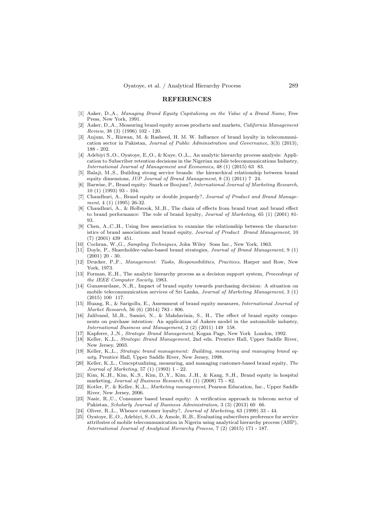#### REFERENCES

- [1] Aaker, D.,A., Managing Brand Equity Capitalizing on the Value of a Brand Name, Free Press, New York, 1991.
- [2] Aaker, D.,A., Measuring brand equity across products and markets, California Management Review, 38 (3) (1996) 102 - 120.
- [3] Anjum, N., Rizwan, M. & Rasheed, H. M. W. Influence of brand loyalty in telecommunication sector in Pakistan, Journal of Public Administration and Governance, 3(3) (2013), 188 - 202.
- [4] Adebiyi S.,O., Oyatoye, E.,O., & Kuye, O.,L., An analytic hierarchy process analysis: Application to Subscriber retention decisions in the Nigerian mobile telecommunications Industry, International Journal of Management and Economics, 48 (1) (2015) 63 83.
- [5] Balaji, M.,S., Building strong service brands: the hierarchical relationship between brand equity dimensions, IUP Journal of Brand Management, 8 (3) (2011) 7 24.
- [6] Barwise, P., Brand equity: Snark or Boojum?, International Journal of Marketing Research, 10 (1) (1993) 93 - 104.
- [7] Chaudhuri, A., Brand equity or double jeopardy?, Journal of Product and Brand Management, 4 (1) (1995) 26-32.
- [8] Chaudhuri, A., & Holbrook, M.,B., The chain of effects from brand trust and brand effect to brand performance: The role of brand loyalty, Journal of Marketing, 65 (1) (2001) 81- 93.
- [9] Chen, A.,C.,H., Using free association to examine the relationship between the characteristics of brand associations and brand equity, Journal of Product Brand Management, 10 (7) (2001) 439 451.
- [10] Cochran, W.,G., Sampling Techniques, John Wiley Sons Inc., New York, 1963.
- [11] Doyle, P., Shareholder-value-based brand strategies, Journal of Brand Management, 9 (1)  $(2001)$  20 - 30.
- [12] Drucker, P.,F., Management: Tasks, Responsibilities, Practices, Harper and Row, New York, 1973.
- [13] Forman, E.H., The analytic hierarchy process as a decision support system, *Proceedings of* the IEEE Computer Society, 1983.
- [14] Gunawardane, N.,R., Impact of brand equity towards purchasing decision: A situation on mobile telecommunication services of Sri Lanka, Journal of Marketing Management, 3 (1) (2015) 100 117.
- [15] Huang, R., & Sarigollu, E., Assessment of brand equity measures, International Journal of Market Research, 56 (6) (2014) 783 - 806.
- [16] Jalilvand, M.,R., Samiei, N., & Mahdavinia, S., H., The effect of brand equity components on purchase intention: An application of Aakers model in the automobile industry, International Business and Management, 2 (2) (2011) 149 158.
- [17] Kapferer, J.,N., Strategic Brand Management, Kogan Page, New York London, 1992.
- [18] Keller, K.,L., Strategic Brand Management, 2nd edn. Prentice Hall, Upper Saddle River, New Jersey, 2003.
- [19] Keller, K.,L., Strategic brand management: Building, measuring and managing brand equity, Prentice Hall, Upper Saddle River, New Jersey, 1998.
- [20] Keller, K.,L., Conceptualizing, measuring, and managing customer-based brand equity, The Journal of Marketing, 57 (1) (1993) 1 - 22.
- [21] Kim, K.,H., Kim, K.,S., Kim, D.,Y., Kim, J.,H., & Kang, S.,H., Brand equity in hospital marketing, Journal of Business Research, 61 (1) (2008) 75 - 82.
- [22] Kotler, P,. & Keller, K.,L., Marketing management, Pearson Education, Inc., Upper Saddle River, New Jersey, 2006.
- [23] Nasir, R.,U., Consumer based brand equity: A verification approach in telecom sector of Pakistan, Scholarly Journal of Business Administration, 3 (3) (2013) 60 66.
- [24] Oliver, R.,L., Whence customer loyalty?, Journal of Marketing, 63 (1999) 33 44.
- [25] Oyatoye, E.,O., Adebiyi, S.,O., & Amole, B.,B., Evaluating subscribers preference for service attributes of mobile telecommunication in Nigeria using analytical hierarchy process (AHP), International Journal of Analytical Hierarchy Process, 7 (2) (2015) 171 - 187.